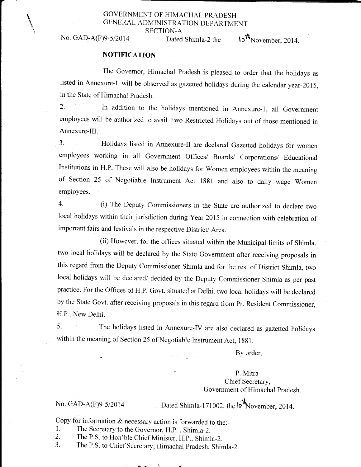#### GOVERNMENT OF HIMACHAL PRADESH GENERAL ADMINISTRATION DEPARTMENT

SECTION-A

## No. GAD-A(F)9-5/2014 Dated Shimla-2 the  $10^{th}$ November, 2014.

#### **NOTIFICATION**

The Govemor, Himachal Pradesh is pleased to order that the holidays as listed in Annexure-I, will be observed as gazetted holidays during the calendar year-2015, in the State of Himachal pradesh.

2. In addition to the holidays mentioned in Annexure-l, all Government employees will be authorized to avail Two Restricted Holidays out of those mentioned in Annexure-lll.

3. Holidays listed in Annexure-Il are declared Gazetted holidays for women employees working in all Government Offices/ Boards/ Corporations/ Educational Institutions in H.P. These will also be holidays for Women employees within the meaning of Section 25 of Negotiable Instrument Act 1881 and also to daily wage Women employees.

4. (i) The Deputy Commissioners in the State are authorized to declare two local holidays within their jurisdiction during Year 2015 in connection with celebration of important fairs and festivals in the respective District/ Area.

(ii) However, for the offices situated within the Municipal limits of Shimla, two local holidays will be declared by the State Govemment after receiving proposals in this regard from the Deputy Commissioner Shimla and for the rest of District Shimla, two local holidays will be declared/ decided by the Deputy Commissioner Shimla as per past practice. For the Offices of H.P. Govt. situated at Delhi, two local holidays will be declared by the State Govt. after receiving proposals in this regard from Pr. Resident Commissioner, H.P., New Delhi.

5. The holidays listed in Annexure-IV are also declared as gazetted holidays within the meaning of Section 25 of Negotiable Instrument Act, 1881.

By order,

P. Mitra Chief Secretary, Government of Himachal pradesh.

#### No. GAD-A $(F)9-5/2014$

Dated Shimla-171002, the  $l\sigma$ <sup>t</sup> November, 2014.

- 
- 
- Copy for information & necessary action is forwarded to the:<br>
1. The Secretary to the Governor, H.P., Shimla-2.<br>
2. The P.S. to Hon'ble Chief Minister, H.P., Shimla-2.<br>
3. The P.S. to Chief Secretary, Himachal Pradesh, Shi

#### $\mathbf{A}$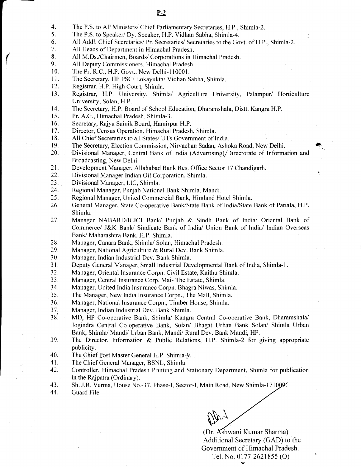- 4. 5. The P.S. to All Ministers/ Chief Parliamentary Secretaries, H.P., Shimla-2.
	- The P.S. to Speaker/ Dy. Speaker, H.P. Vidhan Sabha, Shimla-4.
- 6. All Addl. Chief Secretaries/ Pr. Secretaries/ Secretaries to the Govt. of H.P., Shimla-2.
- 7. All Heads of Departrnent in Himachal Pradesh.
- 8. Al1 M.Ds./Chairmen, Boards/ Corporations in Himachal Pradesh.
- 9. All Deputy Commissioners, Himachal Pradesh.
- I0. The Pr. R.C., H.P. Govt., New Delhi-110001.
- 11. The Secretary, HP PSC/ Lokayukta/ Vidhan Sabha, Shimla.
- 12. Registrar, H.P. High Court, Shimla.
- 13. Registrar, H.P. University, Shimla/ Agriculture University, Palampur/ Horticulture University, Solan, H.P.
- 14. The Secretary, H.P. Board of School Education, Dharamshala, Distt. Kangra H.P.
- 15. Pr. A.G., Himachal Pradesh, Shimla-3.
- 16. Secretary, Rajya Sainik Board, Hamirpur H.P.
- 17. Director, Census Operation. Himachal Pradesh, Shimla.
- 18. All Chief Secretaries to all States/ UTs Government of India.
- 19. The Secretary, Election Commission, Nirvachan Sadan, Ashoka Road, New Delhi.
- 20. Divisional Manager, Central Bank of India (Advertising)/Directorate of Information and Broadcasting, New Delhi.
- 21. Development Manager, Allahabad Bank Res. Office Sector 17 Chandigarh.
- 22. Divisional Manager Indian Oil Corporation, Shimla.
- z). Divisional Manager, LIC, Shimla.
- 24. Regional Manager, Punjab National Bank Shimla, Mandi.
- 25. Regional Manager, United Commercial Bank, Himland Hotel Shimla.
- 26. General Manager, State Co-operative Bank/State Bank of India/State Bank of Patiala, H.P. Shimla.
- 27. Manager NABARD/ICICI Bank/ Punjab & Sindh Bank of tndia/ Oriental Bank of Commerce/ J&K Bank/ Sindicate Bank of India/ Union Bank of India/ Indian Overseas Bank/ Maharashtra Bank, H.P. Shimla.
- 28. Manager, Canara Bank, Shimla/ Solan, Himachal Pradesh.
- 29. Manager, National Agriculture & Rural Dev. Bank Shimla.
- 30. Manager, Indian Industrial Dev. Bank Shimla.
- 3r. Deputy General Manager, Small Industrial Developmental Bank of India, Shimla-1.
- 32. Manager, Oriental Insurance Corpn. Civil Estate, Kaithu Shimla.
- 33. Manager, Central Insurance Corp. Mai- The Estate, Shimla.
- 34. Manager, United India Insurance Corpn. Bhagra Niwas, Shimla.
- 35. The Manager, New India Insurance Corpn., The Mall, Shimla.
- 36. Manager, National Insurance Corpn., Timber House, Shimla.
- 37. Manager, Indian Industrial Dev. Bank Shimla.
- 38. MD, HP Co-operative Bank, Shimla/ Kangra Central Co-operative Bank, Dharamshala/ Jogindra Central Co-operative Bank, Solan/ Bhagat Urban Bank Solan/ Shimla Urban Bank, Shimla/ Mandi/ Urban Bank, Mandi/ Rural Dev. Bank Mandi, HP.
- 39. The Director, Infonnation & Public Relations, H.P. Shimla-2 for giving appropriate publicity.
- 40. The Chief Post Master General H.P. Shimla-9.
- 41. The Chief General Manager, BSNL, Shimla.
- 42. Controller, Himachal Pradesh Printing and Stationary Department, Shimla for publication in the Rajpatra (Ordinary).
- 43. Sh. J.R. Verma, House No.-37. Phase-I, Sector-I, Main Road. New Shimla-171
- 44. Guard File.

May

(Dr. Ashwani Kumar Sharma) Additional Secretary (GAD) to the Government of Himachal Pradesh. Tel. No. 0177-2621855 (O)

;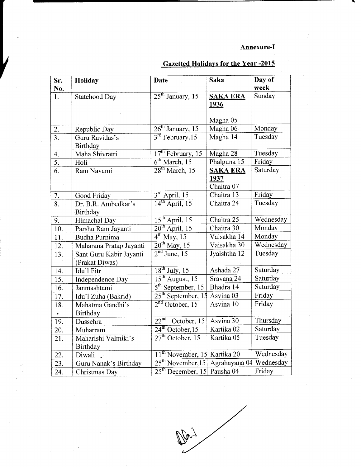### Annexure-I

| Sr.              | <b>Holiday</b>          | <b>Date</b>                                 | <b>Saka</b>     | Day of<br>week |
|------------------|-------------------------|---------------------------------------------|-----------------|----------------|
| No.<br>1.        |                         | $25th$ January, 15                          | <b>SAKA ERA</b> | Sunday         |
|                  | Statehood Day           |                                             | 1936            |                |
|                  |                         |                                             |                 |                |
|                  |                         |                                             | Magha 05        |                |
| 2.               | Republic Day            | $26th$ January, 15                          | Magha 06        | Monday         |
| $\overline{3}$ . | Guru Ravidas's          | $3rd$ February, 15                          | Magha 14        | Tuesday        |
|                  | Birthday                |                                             |                 |                |
| $\overline{4}$ . | Maha Shivratri          | $17th$ February, 15                         | Magha 28        | Tuesday        |
| $\overline{5}$ . | Holi                    | 6 <sup>th</sup> March, 15                   | Phalguna 15     | Friday         |
| $\overline{6}$ . | Ram Navami              | $28th$ March, 15                            | <b>SAKA ERA</b> | Saturday       |
|                  |                         |                                             | 1937            |                |
|                  |                         |                                             | Chaitra 07      |                |
| 7.               | Good Friday             | $3rd$ April, 15                             | Chaitra 13      | Friday         |
| $\overline{8}$ . | Dr. B.R. Ambedkar's     | $14^{\text{th}}$ April, 15                  | Chaitra 24      | Tuesday        |
|                  | Birthday                |                                             |                 |                |
| 9.               | Himachal Day            | $15th$ April, 15                            | Chaitra 25      | Wednesday      |
| 10.              | Parshu Ram Jayanti      | $20^{th}$ April, 15                         | Chaitra 30      | Monday         |
| 11.              | <b>Budha Purnima</b>    | $4th$ May, 15                               | Vaisakha 14     | Monday         |
| 12.              | Maharana Pratap Jayanti | $20^{th}$ May, 15                           | Vaisakha 30     | Wednesday      |
| 13.              | Sant Guru Kabir Jayanti | $2nd$ June, 15                              | Jyaishtha 12    | Tuesday        |
|                  | (Prakat Diwas)          |                                             |                 |                |
| 14.              | Idu'l Fitr              | $18^{\text{th}}$ July, 15                   | Ashada 27       | Saturday       |
| 15.              | Independence Day        | $15th$ August, 15                           | Sravana 24      | Saturday       |
| 16.              | Janmashtami             | $5th$ September, 15                         | Bhadra 14       | Saturday       |
| 17.              | Idu'l Zuha (Bakrid)     | $25th$ September, 15                        | Asvina 03       | Friday         |
| 18.              | Mahatma Gandhi's        | $2nd$ October, 15                           | Asvina 10       | Friday         |
| ÷.               | <b>Birthday</b>         |                                             |                 |                |
| 19.              | Dussehra                | $22nd$ October, 15                          | Asvina 30       | Thursday       |
| 20.              | Muharram                | $24^{\text{th}}$ October, 15                | Kartika 02      | Saturday       |
| 21.              | Maharishi Valmiki's     | $27th$ October, 15                          | Kartika 05      | Tuesday        |
|                  | Birthday                |                                             |                 |                |
| 22.              | Diwali                  | 11 <sup>th</sup> November, 15 Kartika 20    |                 | Wednesday      |
| 23.              | Guru Nanak's Birthday   | 25 <sup>th</sup> November, 15 Agrahayana 04 |                 | Wednesday      |
| 24.              | Christmas Day           | 25 <sup>th</sup> December, 15 Pausha 04     |                 | Friday         |

L

## Gazetted Holidays for the Year -2015

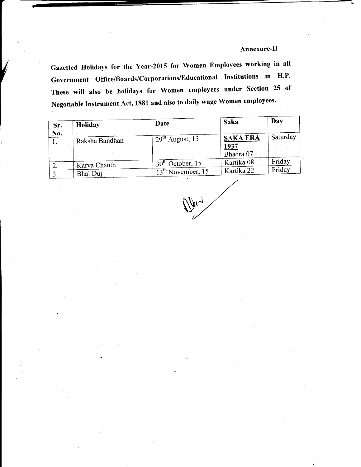#### Annexure-II

Gazetted Hotidays for the Year-2015 for women Employees working in all Government Office/Boards/Corporations/Educational Institutions in H.P. These will also be holidays for women employees under section 25 of Negotiable Instrument Act, 1881 and also to daily wage Women employees'

| Holiday        | Date               | Saka                                         | Day              |
|----------------|--------------------|----------------------------------------------|------------------|
| Raksha Bandhan | $29th$ August, 15  | <b>SAKA ERA</b><br><u> 1937</u><br>Bhadra 07 | Saturday         |
| Karva Chauth   | $30th$ October, 15 | Kartika 08                                   | Friday<br>Friday |
|                | Bhai Duj           | $13th$ November, 15                          | Kartika 22       |

 $\Psi^{\lambda}$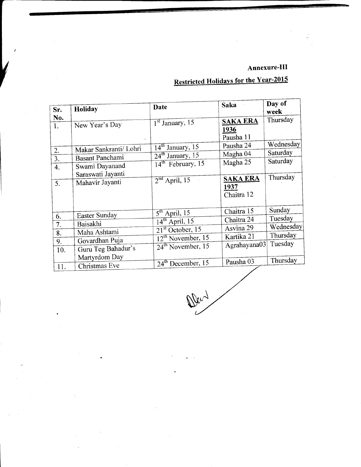## Annexure-III

| Sr.              | Holiday                              | Date                                       | <b>Saka</b>                           | Day of<br>week |
|------------------|--------------------------------------|--------------------------------------------|---------------------------------------|----------------|
| No.<br>1.        | New Year's Day<br>$\sim 2$           | $1st$ January, 15                          | <b>SAKA ERA</b><br>1936<br>Pausha 11  | Thursday       |
| 2.               | Makar Sankranti/ Lohri               | $14th$ January, 15                         | Pausha 24                             | Wednesday      |
| $\overline{3}$ . | Basant Panchami                      | $24th$ January, 15                         | Magha 04                              | Saturday       |
| 4.               | Swami Dayanand<br>Saraswati Jayanti  | $14th$ February, 15                        | Magha 25                              | Saturday       |
| 5.               | Mahavir Jayanti                      | $2nd$ April, 15                            | <b>SAKA ERA</b><br>1937<br>Chaitra 12 | Thursday       |
|                  |                                      | $5th$ April, 15                            | Chaitra 15                            | Sunday         |
| 6.               | Easter Sunday                        | $14^{\text{th}}$ April, 15                 | Chaitra 24                            | Tuesday        |
| 7.               | Baisakhi                             | $\overline{21}^{st}$ October, 15           | Asvina 29                             | Wednesday      |
| 8.               | Maha Ashtami                         |                                            | Kartika 21                            | Thursday       |
| 9.<br>10.        | Govardhan Puja<br>Guru Teg Bahadur's | $12th$ November, 15<br>$24th$ November, 15 | Agrahayana03                          | Tuesday        |
| 11.              | Martyrdom Day<br>Christmas Eve       | 24 <sup>th</sup> December, 15              | Pausha 03                             | Thursday       |

# **Restricted Holidays for the Year-2015**

Wend